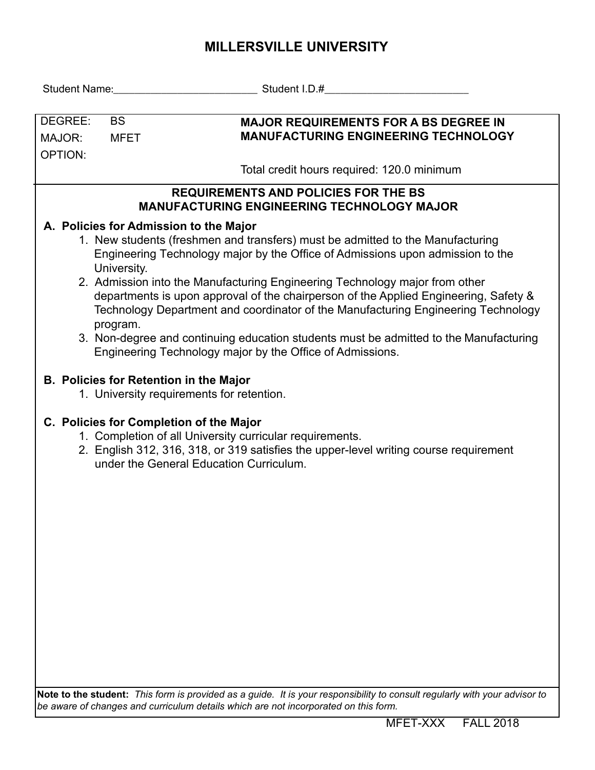## **MILLERSVILLE UNIVERSITY**

| DEGREE:                                                                                                                                                                                                                                 | <b>BS</b>   | <b>MAJOR REQUIREMENTS FOR A BS DEGREE IN</b>                                                                                                                                                                                                             |  |  |  |  |  |  |  |
|-----------------------------------------------------------------------------------------------------------------------------------------------------------------------------------------------------------------------------------------|-------------|----------------------------------------------------------------------------------------------------------------------------------------------------------------------------------------------------------------------------------------------------------|--|--|--|--|--|--|--|
| MAJOR:                                                                                                                                                                                                                                  | <b>MFET</b> | <b>MANUFACTURING ENGINEERING TECHNOLOGY</b>                                                                                                                                                                                                              |  |  |  |  |  |  |  |
| <b>OPTION:</b>                                                                                                                                                                                                                          |             |                                                                                                                                                                                                                                                          |  |  |  |  |  |  |  |
|                                                                                                                                                                                                                                         |             | Total credit hours required: 120.0 minimum                                                                                                                                                                                                               |  |  |  |  |  |  |  |
| <b>REQUIREMENTS AND POLICIES FOR THE BS</b><br><b>MANUFACTURING ENGINEERING TECHNOLOGY MAJOR</b>                                                                                                                                        |             |                                                                                                                                                                                                                                                          |  |  |  |  |  |  |  |
| A. Policies for Admission to the Major                                                                                                                                                                                                  |             |                                                                                                                                                                                                                                                          |  |  |  |  |  |  |  |
|                                                                                                                                                                                                                                         | University. | 1. New students (freshmen and transfers) must be admitted to the Manufacturing<br>Engineering Technology major by the Office of Admissions upon admission to the                                                                                         |  |  |  |  |  |  |  |
|                                                                                                                                                                                                                                         | program.    | 2. Admission into the Manufacturing Engineering Technology major from other<br>departments is upon approval of the chairperson of the Applied Engineering, Safety &<br>Technology Department and coordinator of the Manufacturing Engineering Technology |  |  |  |  |  |  |  |
|                                                                                                                                                                                                                                         |             | 3. Non-degree and continuing education students must be admitted to the Manufacturing<br>Engineering Technology major by the Office of Admissions.                                                                                                       |  |  |  |  |  |  |  |
| <b>B. Policies for Retention in the Major</b><br>1. University requirements for retention.                                                                                                                                              |             |                                                                                                                                                                                                                                                          |  |  |  |  |  |  |  |
| C. Policies for Completion of the Major<br>1. Completion of all University curricular requirements.<br>2. English 312, 316, 318, or 319 satisfies the upper-level writing course requirement<br>under the General Education Curriculum. |             |                                                                                                                                                                                                                                                          |  |  |  |  |  |  |  |
|                                                                                                                                                                                                                                         |             |                                                                                                                                                                                                                                                          |  |  |  |  |  |  |  |
|                                                                                                                                                                                                                                         |             |                                                                                                                                                                                                                                                          |  |  |  |  |  |  |  |
|                                                                                                                                                                                                                                         |             |                                                                                                                                                                                                                                                          |  |  |  |  |  |  |  |
|                                                                                                                                                                                                                                         |             |                                                                                                                                                                                                                                                          |  |  |  |  |  |  |  |
|                                                                                                                                                                                                                                         |             |                                                                                                                                                                                                                                                          |  |  |  |  |  |  |  |
|                                                                                                                                                                                                                                         |             |                                                                                                                                                                                                                                                          |  |  |  |  |  |  |  |

**Note to the student:** *This form is provided as a guide. It is your responsibility to consult regularly with your advisor to be aware of changes and curriculum details which are not incorporated on this form.*